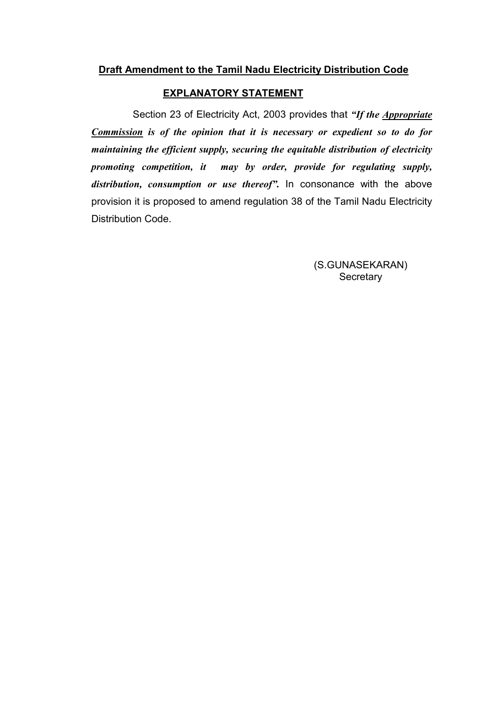# Draft Amendment to the Tamil Nadu Electricity Distribution Code

#### EXPLANATORY STATEMENT

Section 23 of Electricity Act, 2003 provides that "If the Appropriate" Commission is of the opinion that it is necessary or expedient so to do for maintaining the efficient supply, securing the equitable distribution of electricity promoting competition, it may by order, provide for regulating supply, distribution, consumption or use thereof". In consonance with the above provision it is proposed to amend regulation 38 of the Tamil Nadu Electricity Distribution Code.

> (S.GUNASEKARAN) **Secretary**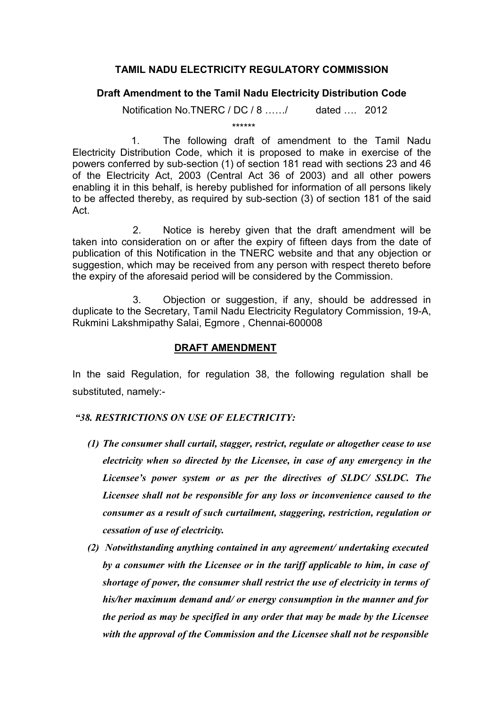### TAMIL NADU ELECTRICITY REGULATORY COMMISSION

## Draft Amendment to the Tamil Nadu Electricity Distribution Code

Notification No.TNERC /  $DC / 8$  ....../ dated ... 2012

\*\*\*\*\*\*

 1. The following draft of amendment to the Tamil Nadu Electricity Distribution Code, which it is proposed to make in exercise of the powers conferred by sub-section (1) of section 181 read with sections 23 and 46 of the Electricity Act, 2003 (Central Act 36 of 2003) and all other powers enabling it in this behalf, is hereby published for information of all persons likely to be affected thereby, as required by sub-section (3) of section 181 of the said Act.

 2. Notice is hereby given that the draft amendment will be taken into consideration on or after the expiry of fifteen days from the date of publication of this Notification in the TNERC website and that any objection or suggestion, which may be received from any person with respect thereto before the expiry of the aforesaid period will be considered by the Commission.

 3. Objection or suggestion, if any, should be addressed in duplicate to the Secretary, Tamil Nadu Electricity Regulatory Commission, 19-A, Rukmini Lakshmipathy Salai, Egmore , Chennai-600008

#### DRAFT AMENDMENT

In the said Regulation, for regulation 38, the following regulation shall be substituted, namely:-

#### "38. RESTRICTIONS ON USE OF ELECTRICITY:

- (1) The consumer shall curtail, stagger, restrict, regulate or altogether cease to use electricity when so directed by the Licensee, in case of any emergency in the Licensee's power system or as per the directives of SLDC/ SSLDC. The Licensee shall not be responsible for any loss or inconvenience caused to the consumer as a result of such curtailment, staggering, restriction, regulation or cessation of use of electricity.
- (2) Notwithstanding anything contained in any agreement/ undertaking executed by a consumer with the Licensee or in the tariff applicable to him, in case of shortage of power, the consumer shall restrict the use of electricity in terms of his/her maximum demand and/ or energy consumption in the manner and for the period as may be specified in any order that may be made by the Licensee with the approval of the Commission and the Licensee shall not be responsible